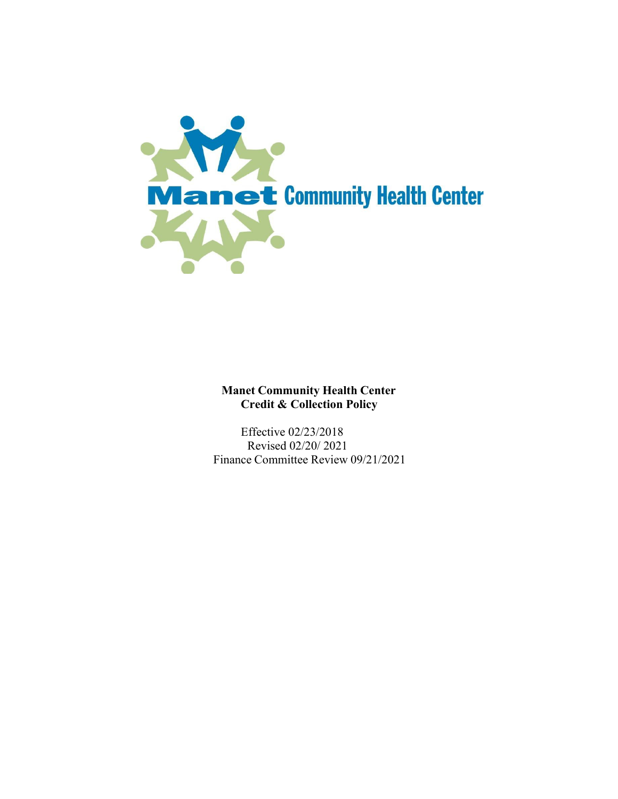

## **Manet Community Health Center Credit & Collection Policy**

Effective 02/23/2018 Revised 02/20/ 2021 Finance Committee Review 09/21/2021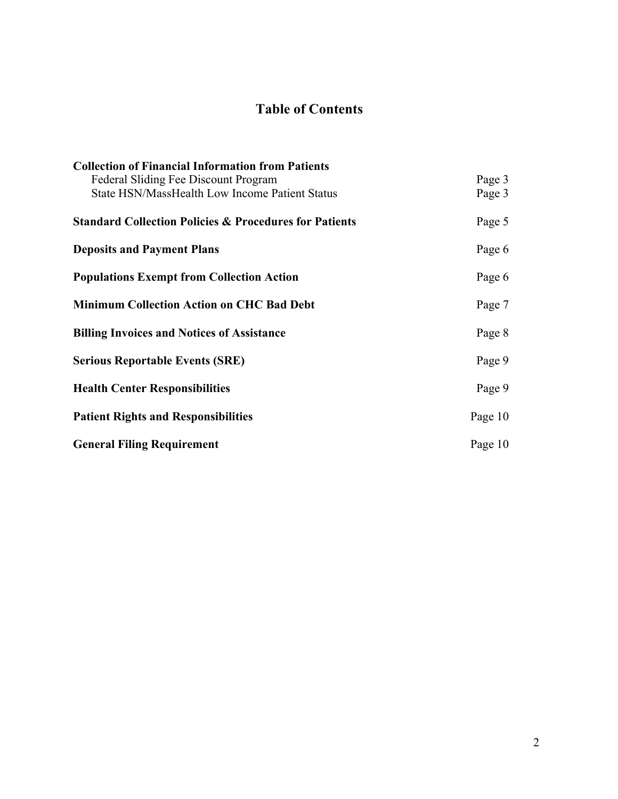# **Table of Contents**

| <b>Collection of Financial Information from Patients</b>          |         |
|-------------------------------------------------------------------|---------|
| Federal Sliding Fee Discount Program                              | Page 3  |
| <b>State HSN/MassHealth Low Income Patient Status</b>             | Page 3  |
| <b>Standard Collection Policies &amp; Procedures for Patients</b> | Page 5  |
| <b>Deposits and Payment Plans</b>                                 | Page 6  |
| <b>Populations Exempt from Collection Action</b>                  | Page 6  |
| <b>Minimum Collection Action on CHC Bad Debt</b>                  | Page 7  |
| <b>Billing Invoices and Notices of Assistance</b>                 | Page 8  |
| <b>Serious Reportable Events (SRE)</b>                            | Page 9  |
| <b>Health Center Responsibilities</b>                             | Page 9  |
| <b>Patient Rights and Responsibilities</b>                        | Page 10 |
| <b>General Filing Requirement</b>                                 | Page 10 |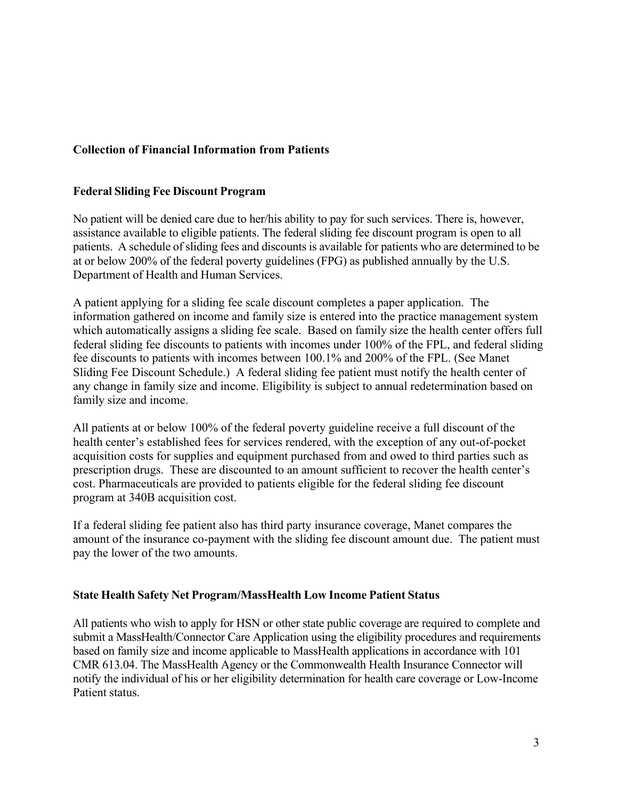## **Collection of Financial Information from Patients**

#### **Federal Sliding Fee Discount Program**

No patient will be denied care due to her/his ability to pay for such services. There is, however, assistance available to eligible patients. The federal sliding fee discount program is open to all patients. A schedule of sliding fees and discounts is available for patients who are determined to be at or below 200% of the federal poverty guidelines (FPG) as published annually by the U.S. Department of Health and Human Services.

A patient applying for a sliding fee scale discount completes a paper application. The information gathered on income and family size is entered into the practice management system which automatically assigns a sliding fee scale. Based on family size the health center offers full federal sliding fee discounts to patients with incomes under 100% of the FPL, and federal sliding fee discounts to patients with incomes between 100.1% and 200% of the FPL. (See Manet Sliding Fee Discount Schedule.) A federal sliding fee patient must notify the health center of any change in family size and income. Eligibility is subject to annual redetermination based on family size and income.

All patients at or below 100% of the federal poverty guideline receive a full discount of the health center's established fees for services rendered, with the exception of any out-of-pocket acquisition costs for supplies and equipment purchased from and owed to third parties such as prescription drugs. These are discounted to an amount sufficient to recover the health center's cost. Pharmaceuticals are provided to patients eligible for the federal sliding fee discount program at 340B acquisition cost.

If a federal sliding fee patient also has third party insurance coverage, Manet compares the amount of the insurance co-payment with the sliding fee discount amount due. The patient must pay the lower of the two amounts.

#### **State Health Safety Net Program/MassHealth Low Income Patient Status**

All patients who wish to apply for HSN or other state public coverage are required to complete and submit a MassHealth/Connector Care Application using the eligibility procedures and requirements based on family size and income applicable to MassHealth applications in accordance with 101 CMR 613.04. The MassHealth Agency or the Commonwealth Health Insurance Connector will notify the individual of his or her eligibility determination for health care coverage or Low-Income Patient status.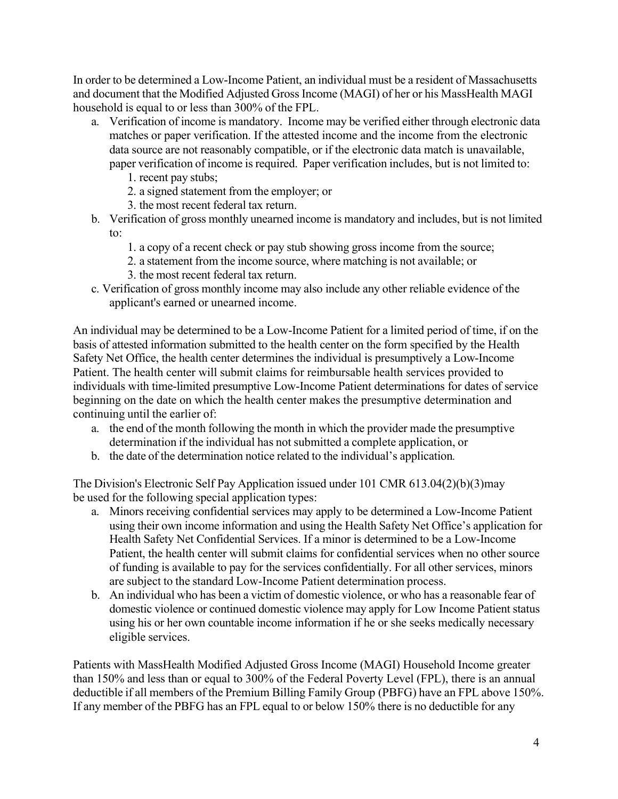In order to be determined a Low-Income Patient, an individual must be a resident of Massachusetts and document that the Modified Adjusted Gross Income (MAGI) of her or his MassHealth MAGI household is equal to or less than 300% of the FPL.

- a. Verification of income is mandatory. Income may be verified either through electronic data matches or paper verification. If the attested income and the income from the electronic data source are not reasonably compatible, or if the electronic data match is unavailable, paper verification of income is required. Paper verification includes, but is not limited to:
	- 1. recent pay stubs;
	- 2. a signed statement from the employer; or
	- 3. the most recent federal tax return.
- b. Verification of gross monthly unearned income is mandatory and includes, but is not limited to:
	- 1. a copy of a recent check or pay stub showing gross income from the source;
	- 2. a statement from the income source, where matching is not available; or
	- 3. the most recent federal tax return.
- c. Verification of gross monthly income may also include any other reliable evidence of the applicant's earned or unearned income.

An individual may be determined to be a Low-Income Patient for a limited period of time, if on the basis of attested information submitted to the health center on the form specified by the Health Safety Net Office, the health center determines the individual is presumptively a Low-Income Patient. The health center will submit claims for reimbursable health services provided to individuals with time-limited presumptive Low-Income Patient determinations for dates of service beginning on the date on which the health center makes the presumptive determination and continuing until the earlier of:

- a. the end of the month following the month in which the provider made the presumptive determination if the individual has not submitted a complete application, or
- b. the date of the determination notice related to the individual's application*.*

The Division's Electronic Self Pay Application issued under 101 CMR 613.04(2)(b)(3)may be used for the following special application types:

- a. Minors receiving confidential services may apply to be determined a Low-Income Patient using their own income information and using the Health Safety Net Office's application for Health Safety Net Confidential Services. If a minor is determined to be a Low-Income Patient, the health center will submit claims for confidential services when no other source of funding is available to pay for the services confidentially. For all other services, minors are subject to the standard Low-Income Patient determination process.
- b. An individual who has been a victim of domestic violence, or who has a reasonable fear of domestic violence or continued domestic violence may apply for Low Income Patient status using his or her own countable income information if he or she seeks medically necessary eligible services.

Patients with MassHealth Modified Adjusted Gross Income (MAGI) Household Income greater than 150% and less than or equal to 300% of the Federal Poverty Level (FPL), there is an annual deductible if all members of the Premium Billing Family Group (PBFG) have an FPL above 150%. If any member of the PBFG has an FPL equal to or below 150% there is no deductible for any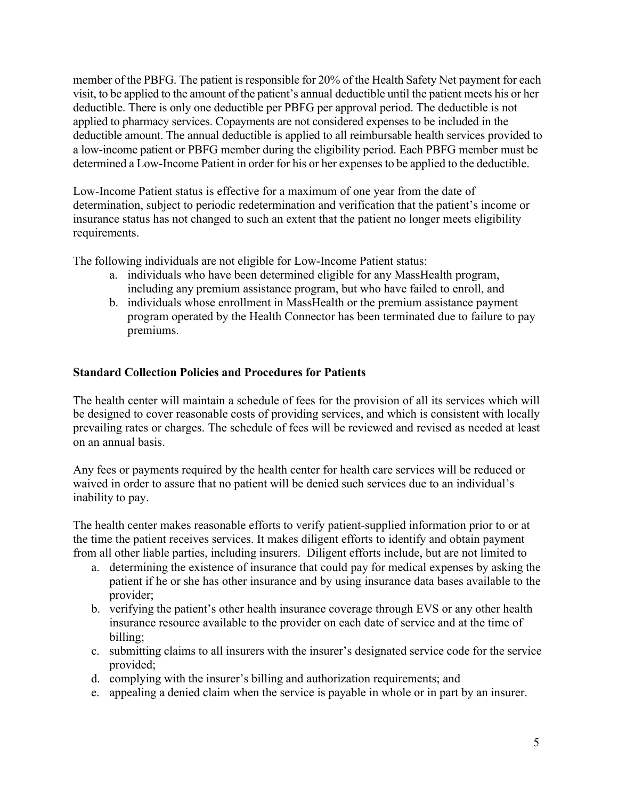member of the PBFG. The patient is responsible for 20% of the Health Safety Net payment for each visit, to be applied to the amount of the patient's annual deductible until the patient meets his or her deductible. There is only one deductible per PBFG per approval period. The deductible is not applied to pharmacy services. Copayments are not considered expenses to be included in the deductible amount. The annual deductible is applied to all reimbursable health services provided to a low-income patient or PBFG member during the eligibility period. Each PBFG member must be determined a Low-Income Patient in order for his or her expensesto be applied to the deductible.

Low-Income Patient status is effective for a maximum of one year from the date of determination, subject to periodic redetermination and verification that the patient's income or insurance status has not changed to such an extent that the patient no longer meets eligibility requirements.

The following individuals are not eligible for Low-Income Patient status:

- a. individuals who have been determined eligible for any MassHealth program, including any premium assistance program, but who have failed to enroll, and
- b. individuals whose enrollment in MassHealth or the premium assistance payment program operated by the Health Connector has been terminated due to failure to pay premiums.

#### **Standard Collection Policies and Procedures for Patients**

The health center will maintain a schedule of fees for the provision of all its services which will be designed to cover reasonable costs of providing services, and which is consistent with locally prevailing rates or charges. The schedule of fees will be reviewed and revised as needed at least on an annual basis.

Any fees or payments required by the health center for health care services will be reduced or waived in order to assure that no patient will be denied such services due to an individual's inability to pay.

The health center makes reasonable efforts to verify patient-supplied information prior to or at the time the patient receives services. It makes diligent efforts to identify and obtain payment from all other liable parties, including insurers. Diligent efforts include, but are not limited to

- a. determining the existence of insurance that could pay for medical expenses by asking the patient if he or she has other insurance and by using insurance data bases available to the provider;
- b. verifying the patient's other health insurance coverage through EVS or any other health insurance resource available to the provider on each date of service and at the time of billing;
- c. submitting claims to all insurers with the insurer's designated service code for the service provided;
- d. complying with the insurer's billing and authorization requirements; and
- e. appealing a denied claim when the service is payable in whole or in part by an insurer.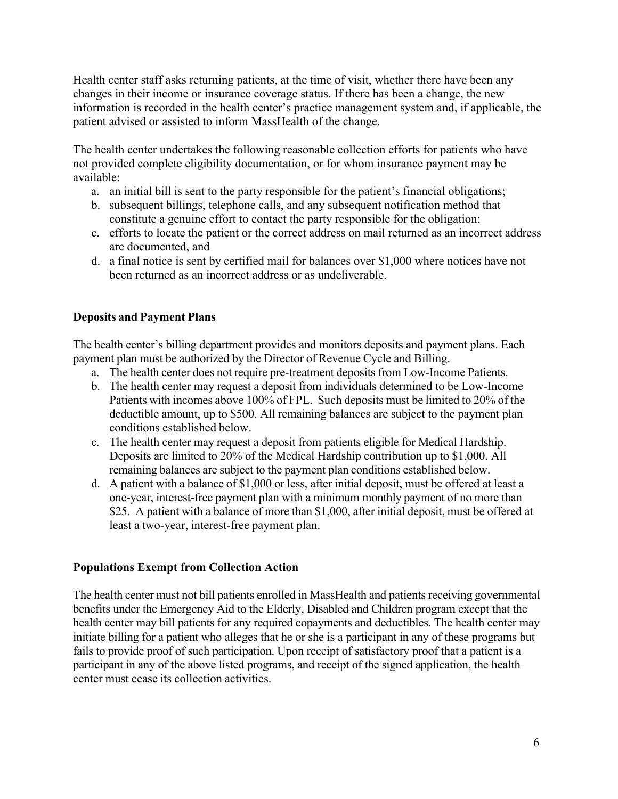Health center staff asks returning patients, at the time of visit, whether there have been any changes in their income or insurance coverage status. If there has been a change, the new information is recorded in the health center's practice management system and, if applicable, the patient advised or assisted to inform MassHealth of the change.

The health center undertakes the following reasonable collection efforts for patients who have not provided complete eligibility documentation, or for whom insurance payment may be available:

- a. an initial bill is sent to the party responsible for the patient's financial obligations;
- b. subsequent billings, telephone calls, and any subsequent notification method that constitute a genuine effort to contact the party responsible for the obligation;
- c. efforts to locate the patient or the correct address on mail returned as an incorrect address are documented, and
- d. a final notice is sent by certified mail for balances over \$1,000 where notices have not been returned as an incorrect address or as undeliverable.

### **Deposits and Payment Plans**

The health center's billing department provides and monitors deposits and payment plans. Each payment plan must be authorized by the Director of Revenue Cycle and Billing.

- a. The health center does not require pre-treatment deposits from Low-Income Patients.
- b. The health center may request a deposit from individuals determined to be Low-Income Patients with incomes above 100% of FPL. Such deposits must be limited to 20% of the deductible amount, up to \$500. All remaining balances are subject to the payment plan conditions established below.
- c. The health center may request a deposit from patients eligible for Medical Hardship. Deposits are limited to 20% of the Medical Hardship contribution up to \$1,000. All remaining balances are subject to the payment plan conditions established below.
- d. A patient with a balance of \$1,000 or less, after initial deposit, must be offered at least a one-year, interest-free payment plan with a minimum monthly payment of no more than \$25. A patient with a balance of more than \$1,000, after initial deposit, must be offered at least a two-year, interest-free payment plan.

### **Populations Exempt from Collection Action**

The health center must not bill patients enrolled in MassHealth and patients receiving governmental benefits under the Emergency Aid to the Elderly, Disabled and Children program except that the health center may bill patients for any required copayments and deductibles. The health center may initiate billing for a patient who alleges that he or she is a participant in any of these programs but fails to provide proof of such participation. Upon receipt of satisfactory proof that a patient is a participant in any of the above listed programs, and receipt of the signed application, the health center must cease its collection activities.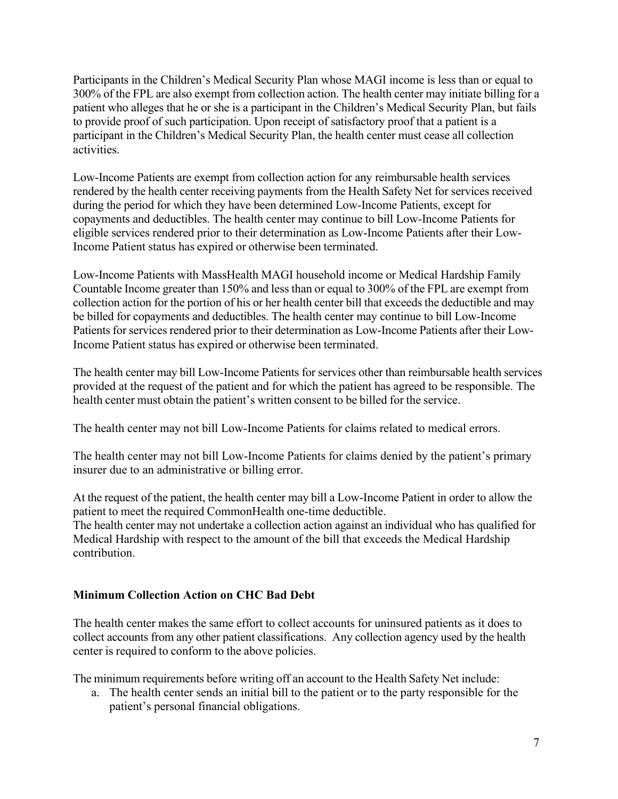Participants in the Children's Medical Security Plan whose MAGI income is less than or equal to 300% of the FPL are also exempt from collection action. The health center may initiate billing for a patient who alleges that he or she is a participant in the Children's Medical Security Plan, but fails to provide proof of such participation. Upon receipt of satisfactory proof that a patient is a participant in the Children's Medical Security Plan, the health center must cease all collection activities.

Low-Income Patients are exempt from collection action for any reimbursable health services rendered by the health center receiving payments from the Health Safety Net for services received during the period for which they have been determined Low-Income Patients, except for copayments and deductibles. The health center may continue to bill Low-Income Patients for eligible services rendered prior to their determination as Low-Income Patients after their Low-Income Patient status has expired or otherwise been terminated.

Low-Income Patients with MassHealth MAGI household income or Medical Hardship Family Countable Income greater than 150% and less than or equal to 300% of the FPL are exempt from collection action for the portion of his or her health center bill that exceeds the deductible and may be billed for copayments and deductibles. The health center may continue to bill Low-Income Patients for services rendered prior to their determination as Low-Income Patients after their Low-Income Patient status has expired or otherwise been terminated.

The health center may bill Low-Income Patients for services other than reimbursable health services provided at the request of the patient and for which the patient has agreed to be responsible. The health center must obtain the patient's written consent to be billed for the service.

The health center may not bill Low-Income Patients for claims related to medical errors.

The health center may not bill Low-Income Patients for claims denied by the patient's primary insurer due to an administrative or billing error.

At the request of the patient, the health center may bill a Low-Income Patient in order to allow the patient to meet the required CommonHealth one-time deductible.

The health center may not undertake a collection action against an individual who has qualified for Medical Hardship with respect to the amount of the bill that exceeds the Medical Hardship contribution.

### **Minimum Collection Action on CHC Bad Debt**

The health center makes the same effort to collect accounts for uninsured patients as it does to collect accounts from any other patient classifications. Any collection agency used by the health center is required to conform to the above policies.

The minimum requirements before writing off an account to the Health Safety Net include:

a. The health center sends an initial bill to the patient or to the party responsible for the patient's personal financial obligations.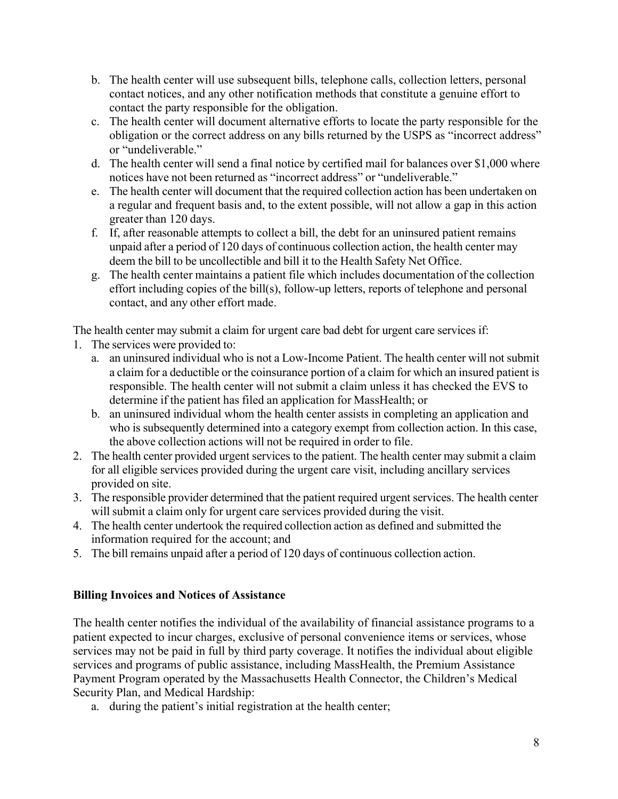- b. The health center will use subsequent bills, telephone calls, collection letters, personal contact notices, and any other notification methods that constitute a genuine effort to contact the party responsible for the obligation.
- c. The health center will document alternative efforts to locate the party responsible for the obligation or the correct address on any bills returned by the USPS as "incorrect address" or "undeliverable."
- d. The health center will send a final notice by certified mail for balances over \$1,000 where notices have not been returned as "incorrect address" or "undeliverable."
- e. The health center will document that the required collection action has been undertaken on a regular and frequent basis and, to the extent possible, will not allow a gap in this action greater than 120 days.
- f. If, after reasonable attempts to collect a bill, the debt for an uninsured patient remains unpaid after a period of 120 days of continuous collection action, the health center may deem the bill to be uncollectible and bill it to the Health Safety Net Office.
- g. The health center maintains a patient file which includes documentation of the collection effort including copies of the bill(s), follow-up letters, reports of telephone and personal contact, and any other effort made.

The health center may submit a claim for urgent care bad debt for urgent care services if:

- 1. The services were provided to:
	- a. an uninsured individual who is not a Low-Income Patient. The health center will not submit a claim for a deductible or the coinsurance portion of a claim for which an insured patient is responsible. The health center will not submit a claim unless it has checked the EVS to determine if the patient has filed an application for MassHealth; or
	- b. an uninsured individual whom the health center assists in completing an application and who is subsequently determined into a category exempt from collection action. In this case, the above collection actions will not be required in order to file.
- 2. The health center provided urgent services to the patient. The health center may submit a claim for all eligible services provided during the urgent care visit, including ancillary services provided on site.
- 3. The responsible provider determined that the patient required urgent services. The health center will submit a claim only for urgent care services provided during the visit.
- 4. The health center undertook the required collection action as defined and submitted the information required for the account; and
- 5. The bill remains unpaid after a period of 120 days of continuous collection action.

### **Billing Invoices and Notices of Assistance**

The health center notifies the individual of the availability of financial assistance programs to a patient expected to incur charges, exclusive of personal convenience items or services, whose services may not be paid in full by third party coverage. It notifies the individual about eligible services and programs of public assistance, including MassHealth, the Premium Assistance Payment Program operated by the Massachusetts Health Connector, the Children's Medical Security Plan, and Medical Hardship:

a. during the patient's initial registration at the health center;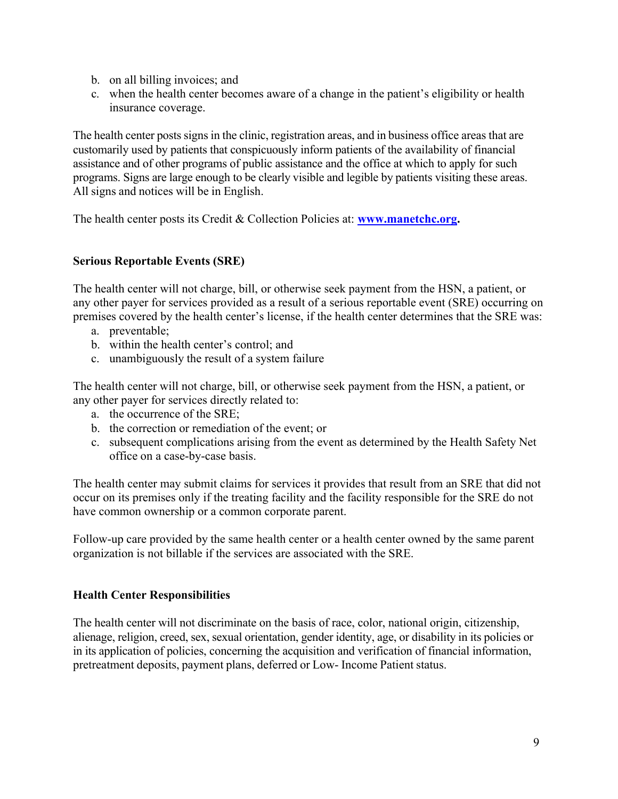- b. on all billing invoices; and
- c. when the health center becomes aware of a change in the patient's eligibility or health insurance coverage.

The health center posts signs in the clinic, registration areas, and in business office areas that are customarily used by patients that conspicuously inform patients of the availability of financial assistance and of other programs of public assistance and the office at which to apply for such programs. Signs are large enough to be clearly visible and legible by patients visiting these areas. All signs and notices will be in English.

The health center posts its Credit & Collection Policies at: **www.manetchc.org.**

### **Serious Reportable Events (SRE)**

The health center will not charge, bill, or otherwise seek payment from the HSN, a patient, or any other payer for services provided as a result of a serious reportable event (SRE) occurring on premises covered by the health center's license, if the health center determines that the SRE was:

- a. preventable;
- b. within the health center's control; and
- c. unambiguously the result of a system failure

The health center will not charge, bill, or otherwise seek payment from the HSN, a patient, or any other payer for services directly related to:

- a. the occurrence of the SRE;
- b. the correction or remediation of the event; or
- c. subsequent complications arising from the event as determined by the Health Safety Net office on a case-by-case basis.

The health center may submit claims for services it provides that result from an SRE that did not occur on its premises only if the treating facility and the facility responsible for the SRE do not have common ownership or a common corporate parent.

Follow-up care provided by the same health center or a health center owned by the same parent organization is not billable if the services are associated with the SRE.

### **Health Center Responsibilities**

The health center will not discriminate on the basis of race, color, national origin, citizenship, alienage, religion, creed, sex, sexual orientation, gender identity, age, or disability in its policies or in its application of policies, concerning the acquisition and verification of financial information, pretreatment deposits, payment plans, deferred or Low- Income Patient status.